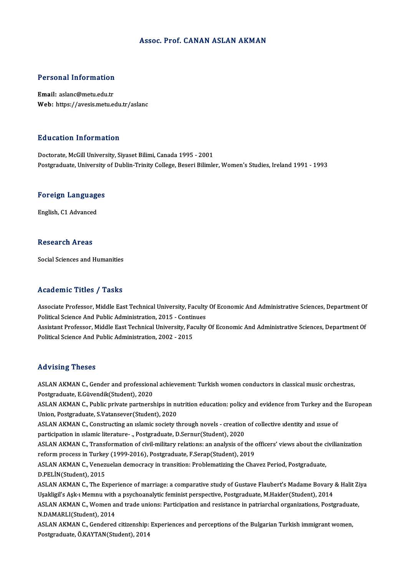### Assoc. Prof. CANAN ASLAN AKMAN

# Personal Information

Personal Information<br>Email: aslanc@metu.edu.tr<br>Web: https://avosis.metu.e Email: aslanc@metu.edu.tr<br>Web: https://avesis.metu.edu.tr/aslanc

### Education Information

Doctorate, McGill University, Siyaset Bilimi, Canada 1995 - 2001 Postgraduate, University of Dublin-Trinity College, Beseri Bilimler, Women's Studies, Ireland 1991 - 1993

### rosigraduate, oniversity<br>Foreign Languages <mark>Foreign Language</mark><br>English, C1 Advanced

English, C1 Advanced<br>Research Areas

Social Sciences and Humanities

### Academic Titles / Tasks

Associate Professor, Middle East Technical University, Faculty Of Economic And Administrative Sciences, Department Of Political Science<br>Associate Professor, Middle East Technical University, Faculty<br>Political Science And Public Administration, 2015 - Continues<br>Assistant Professor, Middle Fast Technical University, Faculty

Assistant Professor, Middle East Technical University, Faculty Of Economic And Administrative Sciences, Department Of<br>Political Science And Public Administration, 2002 - 2015 Political Science And Public Administration, 2015 - Contin<br>Assistant Professor, Middle East Technical University, Fa<br>Political Science And Public Administration, 2002 - 2015

### Advising Theses

Advising Theses<br>ASLAN AKMAN C., Gender and professional achievement: Turkish women conductors in classical music orchestras,<br>Restanduate, E.Güyandil:(Student), 2020 Postgraduate, E.Güvendik (Student), 2020<br>Postgraduate, E.Güvendik(Student), 2020<br>ASLAN AKMAN C. Bublis private portporel ASLAN AKMAN C., Gender and professional achievement: Turkish women conductors in classical music orchestras,<br>Postgraduate, E.Güvendik(Student), 2020<br>ASLAN AKMAN C., Public private partnerships in nutrition education: polic Postgraduate, E.Güvendik(Student), 2020<br>ASLAN AKMAN C., Public private partnerships in nu<br>Union, Postgraduate, S.Vatansever(Student), 2020<br>ASLAN AKMAN C. Constructing an Islamic society t

ASLAN AKMAN C., Public private partnerships in nutrition education: policy and evidence from Turkey and th<br>Union, Postgraduate, S.Vatansever(Student), 2020<br>ASLAN AKMAN C., Constructing an ıslamic society through novels - c

Union, Postgraduate, S.Vatansever(Student), 2020<br>ASLAN AKMAN C., Constructing an islamic society through novels - creation of collective identity and issue of<br>participation in islamic literature- ., Postgraduate, D.Sernur( ASLAN AKMAN C., Constructing an islamic society through novels - creation of collective identity and issue of<br>participation in islamic literature- ., Postgraduate, D.Sernur(Student), 2020<br>ASLAN AKMAN C., Transformation of

participation in ıslamic literature- "Postgraduate, D.Sernur(Student), 2020<br>ASLAN AKMAN C., Transformation of civil-military relations: an analysis of the correform process in Turkey (1999-2016), Postgraduate, F.Serap(Stud ASLAN AKMAN C., Transformation of civil-military relations: an analysis of the officers' views about the c<br>reform process in Turkey (1999-2016), Postgraduate, F.Serap(Student), 2019<br>ASLAN AKMAN C., Venezuelan democracy in

reform process in Turkey (1999-2016), Postgraduate, F.Serap(Student), 2019<br>ASLAN AKMAN C., Venezuelan democracy in transition: Problematizing the Chavez Period, Postgraduate,<br>D.PELİN(Student), 2015 ASLAN AKMAN C., Venezuelan democracy in transition: Problematizing the Chavez Period, Postgraduate,<br>D.PELİN(Student), 2015<br>ASLAN AKMAN C., The Experience of marriage: a comparative study of Gustave Flaubert's Madame Bovary

D.PELİN(Student), 2015<br>ASLAN AKMAN C., The Experience of marriage: a comparative study of Gustave Flaubert's Madame Bovary<br>Uşakligil's Aşk-ı Memnu with a psychoanalytic feminist perspective, Postgraduate, M.Haider(Student) ASLAN AKMAN C., The Experience of marriage: a comparative study of Gustave Flaubert's Madame Bovary & Halit Zi<br>Uşakligil's Aşk-ı Memnu with a psychoanalytic feminist perspective, Postgraduate, M.Haider(Student), 2014<br>ASLAN

Uşakligil's Aşk-ı Memnu with a psychoanalytic feminist perspective, Postgraduate, M.Haider(Student), 2014<br>ASLAN AKMAN C., Women and trade unions: Participation and resistance in patriarchal organizations, Postgraduat<br>N.DAM ASLAN AKMAN C., Women and trade unions: Participation and resistance in patriarchal organizations, Postgraduate,

Postgraduate,Ö.KAYTAN(Student),2014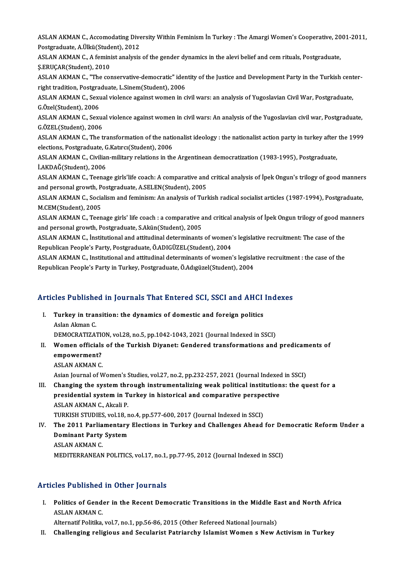ASLAN AKMAN C., Accomodating Diversity Within Feminism İn Turkey : The Amargi Women's Cooperative, 2001-2011,<br>Pestanaduate, A Ülkü (Student), 2012 ASLAN AKMAN C., Accomodating Dive<br>Postgraduate, A.Ülkü(Student), 2012<br>ASLAN AKMAN C. A fominist anglysis ASLAN AKMAN C., Accomodating Diversity Within Feminism İn Turkey : The Amargi Women's Cooperative, 20<br>Postgraduate, A.Ülkü(Student), 2012<br>ASLAN AKMAN C., A feminist analysis of the gender dynamics in the alevi belief and c

Postgraduate, A.Ülkü(Student), 2012<br>ASLAN AKMAN C., A feminist analysis of the gender dynamics in the alevi belief and cem rituals, Postgraduate,<br>Ş.ERUÇAR(Student), 2010 ASLAN AKMAN C., A feminist analysis of the gender dynamics in the alevi belief and cem rituals, Postgraduate,<br>\$.ERUÇAR(Student), 2010<br>ASLAN AKMAN C., "The conservative-democratic" identity of the Justice and Development Pa

S.ERUÇAR(Student), 2010<br>ASLAN AKMAN C., "The conservative-democratic" identical del right tradition, Postgraduate, L.Sinem(Student), 2006<br>ASLAN AKMAN C. Sovual violence against vromen in c ASLAN AKMAN C., "The conservative-democratic" identity of the Justice and Development Party in the Turkish cent<br>right tradition, Postgraduate, L.Sinem(Student), 2006<br>ASLAN AKMAN C., Sexual violence against women in civil w

right tradition, Postgra<br>ASLAN AKMAN C., Sexu<br>G.Özel(Student), 2006<br>ASLAN AKMAN C. Sexu ASLAN AKMAN C., Sexual violence against women in civil wars: an analysis of Yugoslavian Civil War, Postgraduate,<br>G.Özel(Student), 2006<br>ASLAN AKMAN C., Sexual violence against women in civil wars: An analysis of the Yugosla

G.Özel(Student), 2006<br>ASLAN AKMAN C., Sexua<br>G.ÖZEL(Student), 2006<br>ASLAN AKMAN C. The t ASLAN AKMAN C., Sexual violence against women in civil wars: An analysis of the Yugoslavian civil war, Postgraduate,<br>G.ÖZEL(Student), 2006<br>ASLAN AKMAN C., The transformation of the nationalist ideology : the nationalist ac

G.ÖZEL(Student), 2006<br>ASLAN AKMAN C., The transformation of the national<br>elections, Postgraduate, G.Katırcı(Student), 2006<br>ASLAN AKMAN C. Givilian military relations in the ASLAN AKMAN C., The transformation of the nationalist ideology : the nationalist action party in turkey after<br>elections, Postgraduate, G.Katırcı(Student), 2006<br>ASLAN AKMAN C., Civilian-military relations in the Argentinean

elections, Postgraduate, G.Katırcı(Student), 2006<br>ASLAN AKMAN C., Civilian-military relations in the Argentinean democratization (1983-1995), Postgraduate,<br>İ.AKDAĞ(Student), 2006 ASLAN AKMAN C., Civilian-military relations in the Argentinean democratization (1983-1995), Postgraduate,<br>İ.AKDAĞ(Student), 2006<br>ASLAN AKMAN C., Teenage girls'life coach: A comparative and critical analysis of İpek Ongun's

**İ.AKDAĞ(Student), 2006<br>ASLAN AKMAN C., Teenage girls'life coach: A comparative and<br>and personal growth, Postgraduate, A.SELEN(Student), 2005<br>ASLAN AKMAN C. Socialism and faminism: An analysis of Turl** ASLAN AKMAN C., Teenage girls'life coach: A comparative and critical analysis of İpek Ongun's trilogy of good manner<br>and personal growth, Postgraduate, A.SELEN(Student), 2005<br>ASLAN AKMAN C., Socialism and feminism: An anal

and personal growth, Postgraduate, A.SELEN(Student), 2005<br>ASLAN AKMAN C., Socialism and feminism: An analysis of Turkish radical socialist articles (1987-1994), Postgraduate,<br>M.CEM(Student), 2005 ASLAN AKMAN C., Socialism and feminism: An analysis of Turkish radical socialist articles (1987-1994), Postgraduate,<br>M.CEM(Student), 2005<br>ASLAN AKMAN C., Teenage girls' life coach : a comparative and critical analysis of İ

M.CEM(Student), 2005<br>ASLAN AKMAN C., Teenage girls' life coach : a comparative a<br>and personal growth, Postgraduate, S.Akün(Student), 2005<br>ASLAN AKMAN C. İnstitutional and attitudinal determinants ASLAN AKMAN C., Teenage girls' life coach : a comparative and critical analysis of İpek Ongun trilogy of good ma<br>and personal growth, Postgraduate, S.Akün(Student), 2005<br>ASLAN AKMAN C., İnstitutional and attitudinal determ

and personal growth, Postgraduate, S.Akün(Student), 2005<br>ASLAN AKMAN C., İnstitutional and attitudinal determinants of women's legislative recruitment: The case of the<br>Republican People's Party, Postgraduate, Ö.ADIGÜZEL(St ASLAN AKMAN C., Institutional and attitudinal determinants of women's legislative recruitment: The case of the<br>Republican People's Party, Postgraduate, Ö.ADIGÜZEL(Student), 2004<br>ASLAN AKMAN C., Institutional and attitudina

Republican People's Party, Postgraduate, Ö.ADIGÜZEL(Student), 2004<br>ASLAN AKMAN C., Institutional and attitudinal determinants of women's legisla<br>Republican People's Party in Turkey, Postgraduate, Ö.Adıgüzel(Student), 2004

# Republican People's Party in Turkey, Postgraduate, O.Adiguzei(Student), 2004<br>Articles Published in Journals That Entered SCI, SSCI and AHCI Indexes

rticles Published in Journals That Entered SCI, SSCI and AHCI<br>I. Turkey in transition: the dynamics of domestic and foreign politics Turkey in transition: the dynamics of domestic and foreign politics<br>Aslan Akman C. Turkey in transition: the dynamics of domestic and foreign politics<br>Aslan Akman C.<br>DEMOCRATIZATION, vol.28, no.5, pp.1042-1043, 2021 (Journal Indexed in SSCI)<br>Wemen officials of the Turkish Divenst: Condened transformation

Aslan Akman C.<br>DEMOCRATIZATION, vol.28, no.5, pp.1042-1043, 2021 (Journal Indexed in SSCI)<br>II. Women officials of the Turkish Diyanet: Gendered transformations and predicaments of<br>omnowerment? DEMOCRATIZATION<br>Women officials<br>empowerment? Women officials<br>empowerment?<br>ASLAN AKMAN C.<br>Asian Journal of W empowerment?<br>ASLAN AKMAN C.<br>Asian Journal of Women's Studies, vol.27, no.2, pp.232-257, 2021 (Journal Indexed in SSCI)

ASLAN AKMAN C.<br>Asian Journal of Women's Studies, vol.27, no.2, pp.232-257, 2021 (Journal Indexed in SSCI)<br>III. Changing the system through instrumentalizing weak political institutions: the quest for a<br>presidential system Asian Journal of Women's Studies, vol.27, no.2, pp.232-257, 2021 (Journal Indexed<br>Changing the system through instrumentalizing weak political institution<br>presidential system in Turkey in historical and comparative perspec Changing the system thr<br>presidential system in T<br>ASLAN AKMAN C., Akcali P.<br>TURVISH STUDIES vol 19 r presidential system in Turkey in historical and comparative perspe<br>ASLAN AKMAN C., Akcali P.<br>TURKISH STUDIES, vol.18, no.4, pp.577-600, 2017 (Journal Indexed in SSCI)<br>The 2011 Perliamentary Elections in Turkey and Challeng

ASLAN AKMAN C., Akcali P.<br>TURKISH STUDIES, vol.18, no.4, pp.577-600, 2017 (Journal Indexed in SSCI)<br>IV. The 2011 Parliamentary Elections in Turkey and Challenges Ahead for Democratic Reform Under a<br>Deminant Barty System TURKISH STUDIES, vol.18, n<br>The 2011 Parliamentary<br>Dominant Party System<br>ASLAN AKMAN C The 2011 Parlia<br>Dominant Party<br>ASLAN AKMAN C.<br>MEDITEPRANEAN Dominant Party System<br>ASLAN AKMAN C.<br>MEDITERRANEAN POLITICS, vol.17, no.1, pp.77-95, 2012 (Journal Indexed in SSCI)

### Articles Published in Other Journals

I. Politics of Gender in the Recent Democratic Transitions in the Middle East and North Africa ASLAN AKMAN C

Alternatif Politika, vol.7, no.1, pp.56-86, 2015 (Other Refereed National Journals)

II. Challenging religious and Secularist Patriarchy Islamist Women s New Activism in Turkey